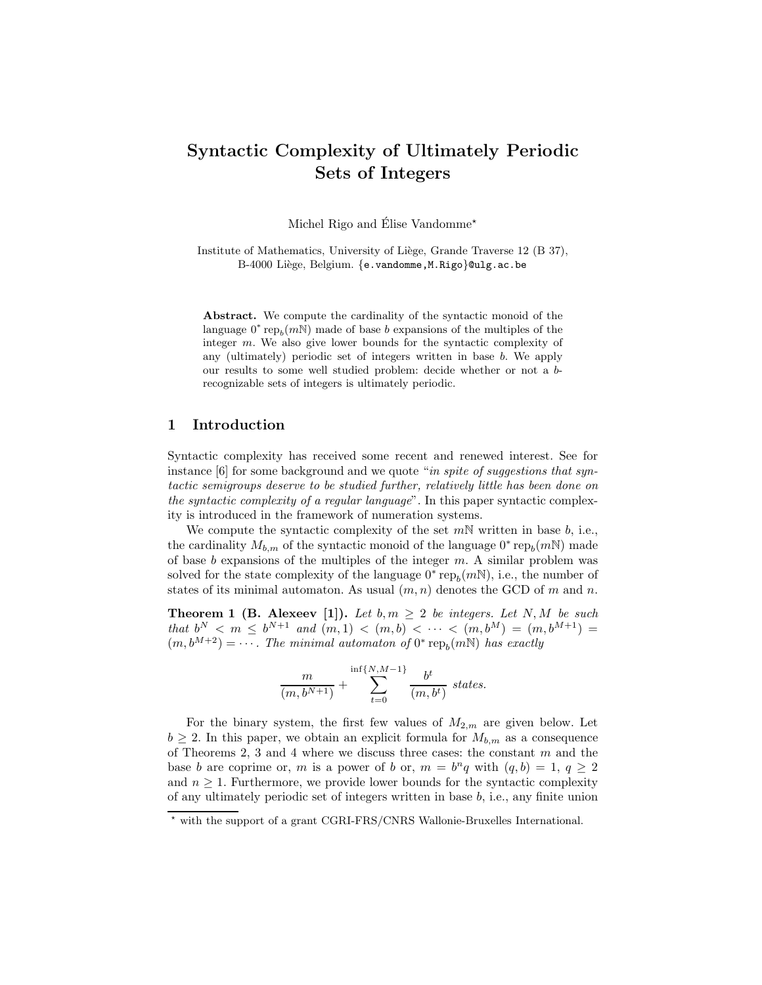# Syntactic Complexity of Ultimately Periodic Sets of Integers

Michel Rigo and Élise Vandomme<sup> $\star$ </sup>

Institute of Mathematics, University of Liège, Grande Traverse 12 (B 37), B-4000 Liège, Belgium. {e.vandomme, M.Rigo}@ulg.ac.be

Abstract. We compute the cardinality of the syntactic monoid of the language  $0^*$  rep<sub>b</sub> $(m<sup>N</sup>)$  made of base b expansions of the multiples of the integer m. We also give lower bounds for the syntactic complexity of any (ultimately) periodic set of integers written in base b. We apply our results to some well studied problem: decide whether or not a brecognizable sets of integers is ultimately periodic.

## 1 Introduction

Syntactic complexity has received some recent and renewed interest. See for instance  $[6]$  for some background and we quote "*in spite of suggestions that syn*tactic semigroups deserve to be studied further, relatively little has been done on the syntactic complexity of a regular language". In this paper syntactic complexity is introduced in the framework of numeration systems.

We compute the syntactic complexity of the set  $m\mathbb{N}$  written in base b, i.e., the cardinality  $M_{b,m}$  of the syntactic monoid of the language  $0^*$  rep<sub>b</sub> $(m\mathbb{N})$  made of base  $b$  expansions of the multiples of the integer  $m$ . A similar problem was solved for the state complexity of the language  $0^*$  re $p_b(mN)$ , i.e., the number of states of its minimal automaton. As usual  $(m, n)$  denotes the GCD of m and n.

**Theorem 1 (B. Alexeev [1]).** Let  $b, m \geq 2$  be integers. Let N, M be such that  $b^N < m \le b^{N+1}$  and  $(m, 1) < (m, b) < \cdots < (m, b^M) = (m, b^{M+1}) =$  $(m, b^{M+2}) = \cdots$ . The minimal automaton of  $0^*$  rep<sub>b</sub> $(mN)$  has exactly

$$
\frac{m}{(m, b^{N+1})} + \sum_{t=0}^{\inf\{N, M-1\}} \frac{b^t}{(m, b^t)} \; states.
$$

For the binary system, the first few values of  $M_{2,m}$  are given below. Let  $b \geq 2$ . In this paper, we obtain an explicit formula for  $M_{b,m}$  as a consequence of Theorems 2, 3 and 4 where we discuss three cases: the constant  $m$  and the base b are coprime or, m is a power of b or,  $m = b^n q$  with  $(q, b) = 1, q \ge 2$ and  $n \geq 1$ . Furthermore, we provide lower bounds for the syntactic complexity of any ultimately periodic set of integers written in base  $b$ , i.e., any finite union

<sup>⋆</sup> with the support of a grant CGRI-FRS/CNRS Wallonie-Bruxelles International.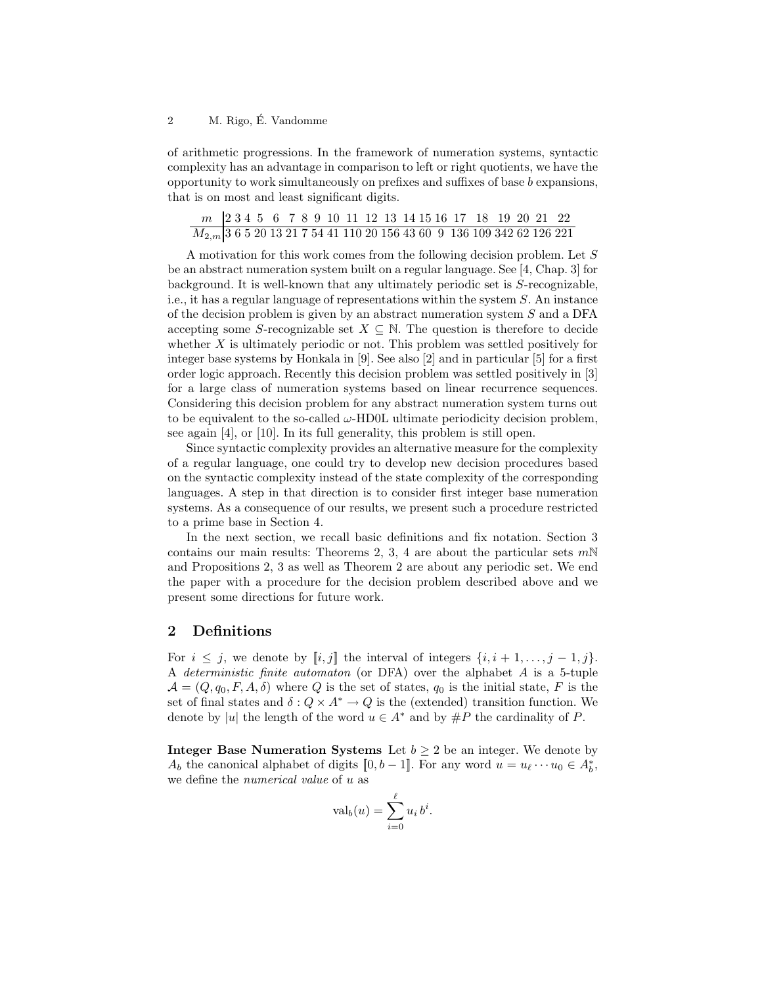#### 2 M. Rigo, É. Vandomme

of arithmetic progressions. In the framework of numeration systems, syntactic complexity has an advantage in comparison to left or right quotients, we have the opportunity to work simultaneously on prefixes and suffixes of base b expansions, that is on most and least significant digits.

| $M_{2,m}$ 3 6 5 20 13 21 7 54 41 110 20 156 43 60 9 136 109 342 62 126 221 |  |  |  |  |  |  |  |  |  |  |  |
|----------------------------------------------------------------------------|--|--|--|--|--|--|--|--|--|--|--|

A motivation for this work comes from the following decision problem. Let S be an abstract numeration system built on a regular language. See [4, Chap. 3] for background. It is well-known that any ultimately periodic set is S-recognizable, i.e., it has a regular language of representations within the system S. An instance of the decision problem is given by an abstract numeration system S and a DFA accepting some S-recognizable set  $X \subseteq \mathbb{N}$ . The question is therefore to decide whether X is ultimately periodic or not. This problem was settled positively for integer base systems by Honkala in [9]. See also [2] and in particular [5] for a first order logic approach. Recently this decision problem was settled positively in [3] for a large class of numeration systems based on linear recurrence sequences. Considering this decision problem for any abstract numeration system turns out to be equivalent to the so-called  $\omega$ -HD0L ultimate periodicity decision problem, see again [4], or [10]. In its full generality, this problem is still open.

Since syntactic complexity provides an alternative measure for the complexity of a regular language, one could try to develop new decision procedures based on the syntactic complexity instead of the state complexity of the corresponding languages. A step in that direction is to consider first integer base numeration systems. As a consequence of our results, we present such a procedure restricted to a prime base in Section 4.

In the next section, we recall basic definitions and fix notation. Section 3 contains our main results: Theorems 2, 3, 4 are about the particular sets  $m\mathbb{N}$ and Propositions 2, 3 as well as Theorem 2 are about any periodic set. We end the paper with a procedure for the decision problem described above and we present some directions for future work.

#### 2 Definitions

For  $i \leq j$ , we denote by  $[i, j]$  the interval of integers  $\{i, i+1, \ldots, j-1, j\}$ . A deterministic finite automaton (or DFA) over the alphabet A is a 5-tuple  $\mathcal{A} = (Q, q_0, F, A, \delta)$  where Q is the set of states,  $q_0$  is the initial state, F is the set of final states and  $\delta: Q \times A^* \to Q$  is the (extended) transition function. We denote by |u| the length of the word  $u \in A^*$  and by  $\#P$  the cardinality of P.

**Integer Base Numeration Systems** Let  $b \geq 2$  be an integer. We denote by  $A_b$  the canonical alphabet of digits  $[0, b-1]$ . For any word  $u = u_{\ell} \cdots u_0 \in A_b^*$ , we define the numerical value of u as

$$
\operatorname{val}_b(u) = \sum_{i=0}^{\ell} u_i \, b^i.
$$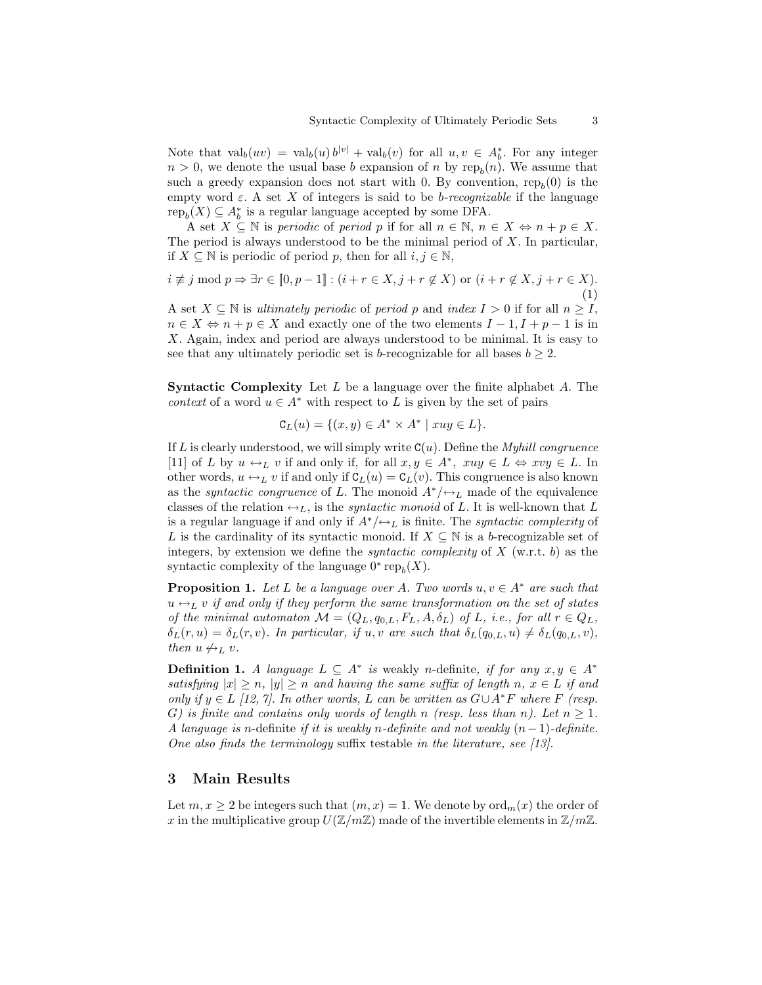Note that  $\operatorname{val}_b(uv) = \operatorname{val}_b(u) b^{|v|} + \operatorname{val}_b(v)$  for all  $u, v \in A_b^*$ . For any integer  $n > 0$ , we denote the usual base b expansion of n by re $p_b(n)$ . We assume that such a greedy expansion does not start with 0. By convention,  $\text{rep}_b(0)$  is the empty word  $\varepsilon$ . A set X of integers is said to be *b*-recognizable if the language  $\text{rep}_b(X) \subseteq A_b^*$  is a regular language accepted by some DFA.

A set  $X \subseteq \mathbb{N}$  is periodic of period p if for all  $n \in \mathbb{N}$ ,  $n \in X \Leftrightarrow n + p \in X$ . The period is always understood to be the minimal period of  $X$ . In particular, if  $X \subseteq \mathbb{N}$  is periodic of period p, then for all  $i, j \in \mathbb{N}$ ,

$$
i \not\equiv j \bmod p \Rightarrow \exists r \in [\![0, p-1]\!]: (i + r \in X, j + r \notin X) \text{ or } (i + r \notin X, j + r \in X).
$$
\n
$$
(1)
$$

A set  $X \subseteq \mathbb{N}$  is ultimately periodic of period p and index  $I > 0$  if for all  $n \geq I$ ,  $n \in X \Leftrightarrow n + p \in X$  and exactly one of the two elements  $I - 1, I + p - 1$  is in X. Again, index and period are always understood to be minimal. It is easy to see that any ultimately periodic set is b-recognizable for all bases  $b \geq 2$ .

**Syntactic Complexity** Let  $L$  be a language over the finite alphabet  $A$ . The context of a word  $u \in A^*$  with respect to L is given by the set of pairs

$$
\mathsf{C}_L(u) = \{(x, y) \in A^* \times A^* \mid xuy \in L\}.
$$

If L is clearly understood, we will simply write  $C(u)$ . Define the *Myhill congruence* [11] of L by  $u \leftrightarrow_L v$  if and only if, for all  $x, y \in A^*$ ,  $xuy \in L \Leftrightarrow xvy \in L$ . In other words,  $u \leftrightarrow_L v$  if and only if  $C_L(u) = C_L(v)$ . This congruence is also known as the *syntactic congruence* of L. The monoid  $A^*/\leftrightarrow_L$  made of the equivalence classes of the relation  $\leftrightarrow_L$ , is the *syntactic monoid* of L. It is well-known that L is a regular language if and only if  $A^*/\leftrightarrow_L$  is finite. The *syntactic complexity* of L is the cardinality of its syntactic monoid. If  $X \subseteq \mathbb{N}$  is a b-recognizable set of integers, by extension we define the *syntactic complexity* of  $X$  (w.r.t. b) as the syntactic complexity of the language  $0^*$  rep<sub>b</sub> $(X)$ .

**Proposition 1.** Let L be a language over A. Two words  $u, v \in A^*$  are such that  $u \leftrightarrow_L v$  if and only if they perform the same transformation on the set of states of the minimal automaton  $\mathcal{M} = (Q_L, q_{0,L}, F_L, A, \delta_L)$  of L, i.e., for all  $r \in Q_L$ ,  $\delta_L(r, u) = \delta_L(r, v)$ . In particular, if u, v are such that  $\delta_L(q_{0,L}, u) \neq \delta_L(q_{0,L}, v)$ , then  $u \not\leftrightarrow_L v$ .

**Definition 1.** A language  $L \subseteq A^*$  is weakly n-definite, if for any  $x, y \in A^*$ satisfying  $|x| \ge n$ ,  $|y| \ge n$  and having the same suffix of length n,  $x \in L$  if and only if  $y \in L$  [12, 7]. In other words, L can be written as  $G \cup A^*F$  where F (resp. G) is finite and contains only words of length n (resp. less than n). Let  $n \geq 1$ . A language is n-definite if it is weakly n-definite and not weakly  $(n-1)$ -definite. One also finds the terminology suffix testable in the literature, see [13].

## 3 Main Results

Let  $m, x \geq 2$  be integers such that  $(m, x) = 1$ . We denote by  $\text{ord}_m(x)$  the order of x in the multiplicative group  $U(\mathbb{Z}/m\mathbb{Z})$  made of the invertible elements in  $\mathbb{Z}/m\mathbb{Z}$ .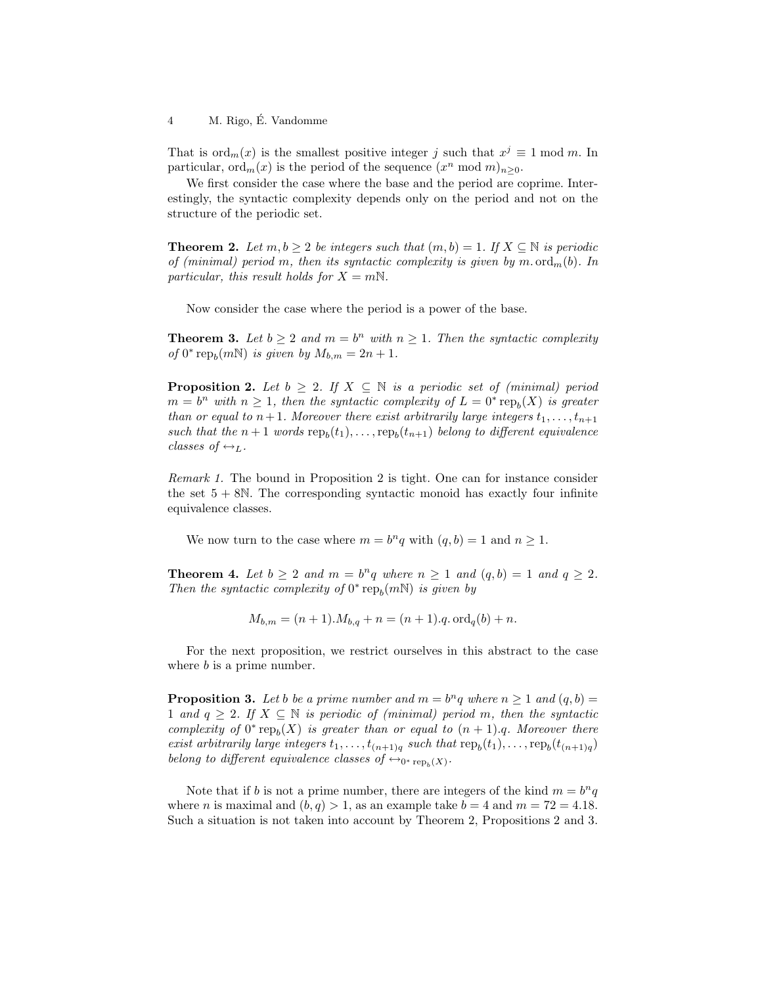#### 4 M. Rigo, É. Vandomme

That is  $\text{ord}_m(x)$  is the smallest positive integer j such that  $x^j \equiv 1 \mod m$ . In particular,  $\mathrm{ord}_m(x)$  is the period of the sequence  $(x^n \bmod m)_{n\geq 0}$ .

We first consider the case where the base and the period are coprime. Interestingly, the syntactic complexity depends only on the period and not on the structure of the periodic set.

**Theorem 2.** Let  $m, b \geq 2$  be integers such that  $(m, b) = 1$ . If  $X \subseteq \mathbb{N}$  is periodic of (minimal) period m, then its syntactic complexity is given by m. ord<sub>m</sub>(b). In particular, this result holds for  $X = mN$ .

Now consider the case where the period is a power of the base.

**Theorem 3.** Let  $b \geq 2$  and  $m = b^n$  with  $n \geq 1$ . Then the syntactic complexity of  $0^*$  rep<sub>b</sub> $(m\mathbb{N})$  is given by  $M_{b,m} = 2n + 1$ .

**Proposition 2.** Let  $b \geq 2$ . If  $X \subseteq \mathbb{N}$  is a periodic set of (minimal) period  $m = b^n$  with  $n \geq 1$ , then the syntactic complexity of  $L = 0^*$  rep<sub>b</sub>(X) is greater than or equal to  $n+1$ . Moreover there exist arbitrarily large integers  $t_1, \ldots, t_{n+1}$ such that the  $n+1$  words  $\text{rep}_b(t_1), \ldots, \text{rep}_b(t_{n+1})$  belong to different equivalence classes of  $\leftrightarrow_L$ .

Remark 1. The bound in Proposition 2 is tight. One can for instance consider the set  $5 + 8N$ . The corresponding syntactic monoid has exactly four infinite equivalence classes.

We now turn to the case where  $m = b^n q$  with  $(q, b) = 1$  and  $n \ge 1$ .

**Theorem 4.** Let  $b \ge 2$  and  $m = b^n q$  where  $n \ge 1$  and  $(q, b) = 1$  and  $q \ge 2$ . Then the syntactic complexity of  $0^*$  rep<sub>b</sub> $(mN)$  is given by

$$
M_{b,m} = (n+1) \cdot M_{b,q} + n = (n+1) \cdot q \cdot \text{ord}_q(b) + n.
$$

For the next proposition, we restrict ourselves in this abstract to the case where  $b$  is a prime number.

**Proposition 3.** Let b be a prime number and  $m = b^n q$  where  $n \ge 1$  and  $(q, b) =$ 1 and  $q \geq 2$ . If  $X \subseteq \mathbb{N}$  is periodic of (minimal) period m, then the syntactic complexity of  $0^*$  rep<sub>b</sub>(X) is greater than or equal to  $(n + 1)$ .q. Moreover there exist arbitrarily large integers  $t_1, \ldots, t_{(n+1)q}$  such that  $\text{rep}_b(t_1), \ldots, \text{rep}_b(t_{(n+1)q})$ belong to different equivalence classes of  $\leftrightarrow_{0^* \text{rep}_b(X)}$ .

Note that if b is not a prime number, there are integers of the kind  $m = b<sup>n</sup>q$ where *n* is maximal and  $(b, q) > 1$ , as an example take  $b = 4$  and  $m = 72 = 4.18$ . Such a situation is not taken into account by Theorem 2, Propositions 2 and 3.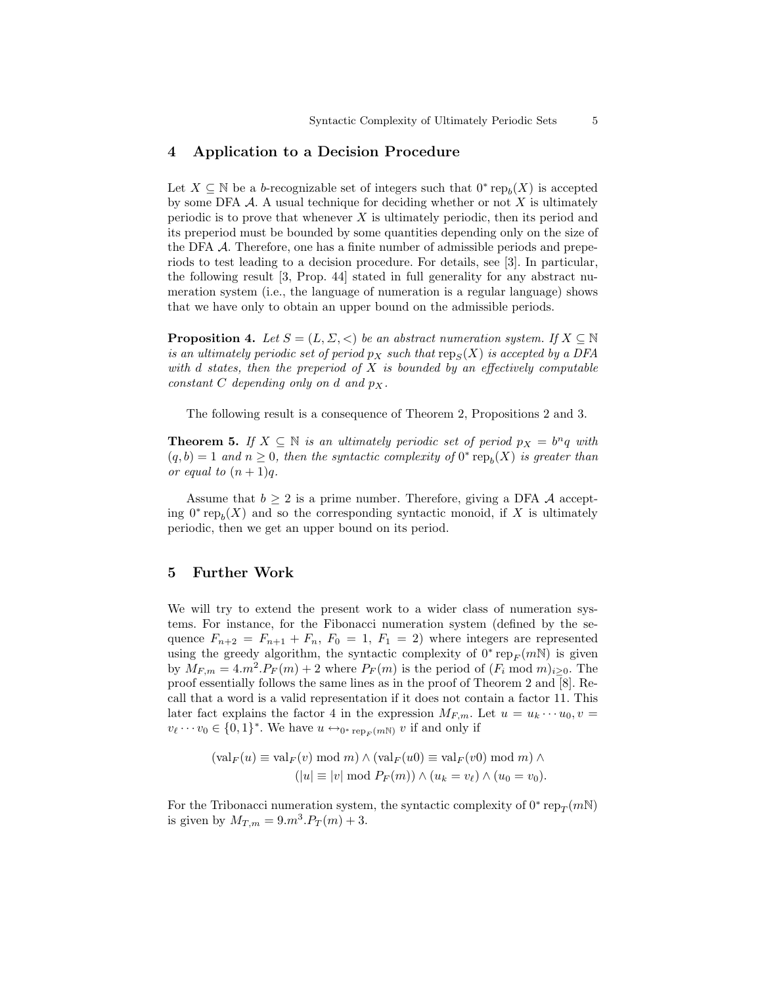### 4 Application to a Decision Procedure

Let  $X \subseteq \mathbb{N}$  be a b-recognizable set of integers such that  $0^* \text{rep}_b(X)$  is accepted by some DFA  $\mathcal A$ . A usual technique for deciding whether or not  $X$  is ultimately periodic is to prove that whenever  $X$  is ultimately periodic, then its period and its preperiod must be bounded by some quantities depending only on the size of the DFA A. Therefore, one has a finite number of admissible periods and preperiods to test leading to a decision procedure. For details, see [3]. In particular, the following result [3, Prop. 44] stated in full generality for any abstract numeration system (i.e., the language of numeration is a regular language) shows that we have only to obtain an upper bound on the admissible periods.

**Proposition 4.** Let  $S = (L, \Sigma, <)$  be an abstract numeration system. If  $X \subseteq \mathbb{N}$ is an ultimately periodic set of period  $p_X$  such that  $\text{rep}_S(X)$  is accepted by a DFA with d states, then the preperiod of  $X$  is bounded by an effectively computable constant C depending only on d and  $p_X$ .

The following result is a consequence of Theorem 2, Propositions 2 and 3.

**Theorem 5.** If  $X \subseteq \mathbb{N}$  is an ultimately periodic set of period  $p_X = b^n q$  with  $(q, b) = 1$  and  $n \geq 0$ , then the syntactic complexity of  $0^*$  rep<sub>b</sub>(X) is greater than or equal to  $(n+1)q$ .

Assume that  $b \geq 2$  is a prime number. Therefore, giving a DFA A accepting  $0^* \text{rep}_b(X)$  and so the corresponding syntactic monoid, if X is ultimately periodic, then we get an upper bound on its period.

### 5 Further Work

We will try to extend the present work to a wider class of numeration systems. For instance, for the Fibonacci numeration system (defined by the sequence  $F_{n+2} = F_{n+1} + F_n$ ,  $F_0 = 1$ ,  $F_1 = 2$ ) where integers are represented using the greedy algorithm, the syntactic complexity of  $0^*$  rep<sub>F</sub>( $m$ N) is given by  $M_{F,m} = 4 \cdot m^2 \cdot P_F(m) + 2$  where  $P_F(m)$  is the period of  $(F_i \mod m)_{i \geq 0}$ . The proof essentially follows the same lines as in the proof of Theorem 2 and [8]. Recall that a word is a valid representation if it does not contain a factor 11. This later fact explains the factor 4 in the expression  $M_{F,m}$ . Let  $u = u_k \cdots u_0, v =$  $v_{\ell} \cdots v_0 \in \{0,1\}^*$ . We have  $u \leftrightarrow_{0^* \text{rep}_F(m\mathbb{N})} v$  if and only if

$$
(\text{val}_F(u) \equiv \text{val}_F(v) \mod m) \land (\text{val}_F(u0) \equiv \text{val}_F(v0) \mod m) \land (|u| \equiv |v| \mod P_F(m)) \land (u_k = v_\ell) \land (u_0 = v_0).
$$

For the Tribonacci numeration system, the syntactic complexity of  $0^*$  rep $_T(mN)$ is given by  $M_{T,m} = 9 \cdot m^3 \cdot P_T(m) + 3$ .